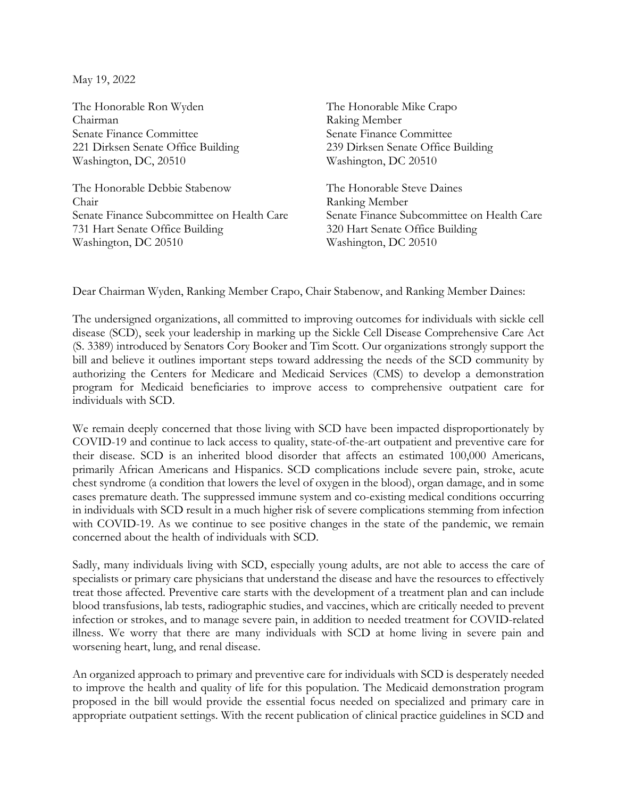May 19, 2022

The Honorable Ron Wyden Chairman Senate Finance Committee 221 Dirksen Senate Office Building Washington, DC, 20510

The Honorable Debbie Stabenow Chair Senate Finance Subcommittee on Health Care 731 Hart Senate Office Building Washington, DC 20510

The Honorable Mike Crapo Raking Member Senate Finance Committee 239 Dirksen Senate Office Building Washington, DC 20510

The Honorable Steve Daines Ranking Member Senate Finance Subcommittee on Health Care 320 Hart Senate Office Building Washington, DC 20510

Dear Chairman Wyden, Ranking Member Crapo, Chair Stabenow, and Ranking Member Daines:

The undersigned organizations, all committed to improving outcomes for individuals with sickle cell disease (SCD), seek your leadership in marking up the Sickle Cell Disease Comprehensive Care Act (S. 3389) introduced by Senators Cory Booker and Tim Scott. Our organizations strongly support the bill and believe it outlines important steps toward addressing the needs of the SCD community by authorizing the Centers for Medicare and Medicaid Services (CMS) to develop a demonstration program for Medicaid beneficiaries to improve access to comprehensive outpatient care for individuals with SCD.

We remain deeply concerned that those living with SCD have been impacted disproportionately by COVID-19 and continue to lack access to quality, state-of-the-art outpatient and preventive care for their disease. SCD is an inherited blood disorder that affects an estimated 100,000 Americans, primarily African Americans and Hispanics. SCD complications include severe pain, stroke, acute chest syndrome (a condition that lowers the level of oxygen in the blood), organ damage, and in some cases premature death. The suppressed immune system and co-existing medical conditions occurring in individuals with SCD result in a much higher risk of severe complications stemming from infection with COVID-19. As we continue to see positive changes in the state of the pandemic, we remain concerned about the health of individuals with SCD.

Sadly, many individuals living with SCD, especially young adults, are not able to access the care of specialists or primary care physicians that understand the disease and have the resources to effectively treat those affected. Preventive care starts with the development of a treatment plan and can include blood transfusions, lab tests, radiographic studies, and vaccines, which are critically needed to prevent infection or strokes, and to manage severe pain, in addition to needed treatment for COVID-related illness. We worry that there are many individuals with SCD at home living in severe pain and worsening heart, lung, and renal disease.

An organized approach to primary and preventive care for individuals with SCD is desperately needed to improve the health and quality of life for this population. The Medicaid demonstration program proposed in the bill would provide the essential focus needed on specialized and primary care in appropriate outpatient settings. With the recent publication of clinical practice guidelines in SCD and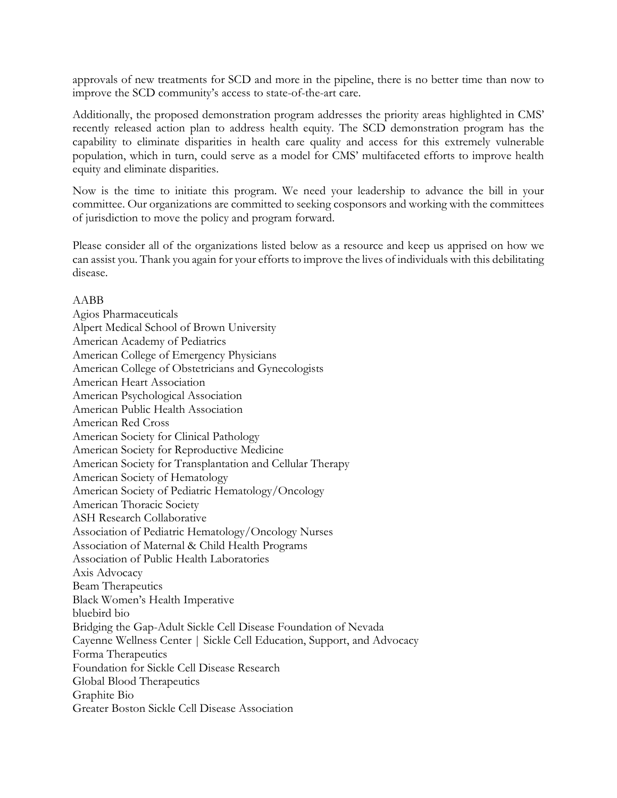approvals of new treatments for SCD and more in the pipeline, there is no better time than now to improve the SCD community's access to state-of-the-art care.

Additionally, the proposed demonstration program addresses the priority areas highlighted in CMS' recently released action plan to address health equity. The SCD demonstration program has the capability to eliminate disparities in health care quality and access for this extremely vulnerable population, which in turn, could serve as a model for CMS' multifaceted efforts to improve health equity and eliminate disparities.

Now is the time to initiate this program. We need your leadership to advance the bill in your committee. Our organizations are committed to seeking cosponsors and working with the committees of jurisdiction to move the policy and program forward.

Please consider all of the organizations listed below as a resource and keep us apprised on how we can assist you. Thank you again for your efforts to improve the lives of individuals with this debilitating disease.

## AABB

Agios Pharmaceuticals Alpert Medical School of Brown University American Academy of Pediatrics American College of Emergency Physicians American College of Obstetricians and Gynecologists American Heart Association American Psychological Association American Public Health Association American Red Cross American Society for Clinical Pathology American Society for Reproductive Medicine American Society for Transplantation and Cellular Therapy American Society of Hematology American Society of Pediatric Hematology/Oncology American Thoracic Society ASH Research Collaborative Association of Pediatric Hematology/Oncology Nurses Association of Maternal & Child Health Programs Association of Public Health Laboratories Axis Advocacy Beam Therapeutics Black Women's Health Imperative bluebird bio Bridging the Gap-Adult Sickle Cell Disease Foundation of Nevada Cayenne Wellness Center | Sickle Cell Education, Support, and Advocacy Forma Therapeutics Foundation for Sickle Cell Disease Research Global Blood Therapeutics Graphite Bio Greater Boston Sickle Cell Disease Association